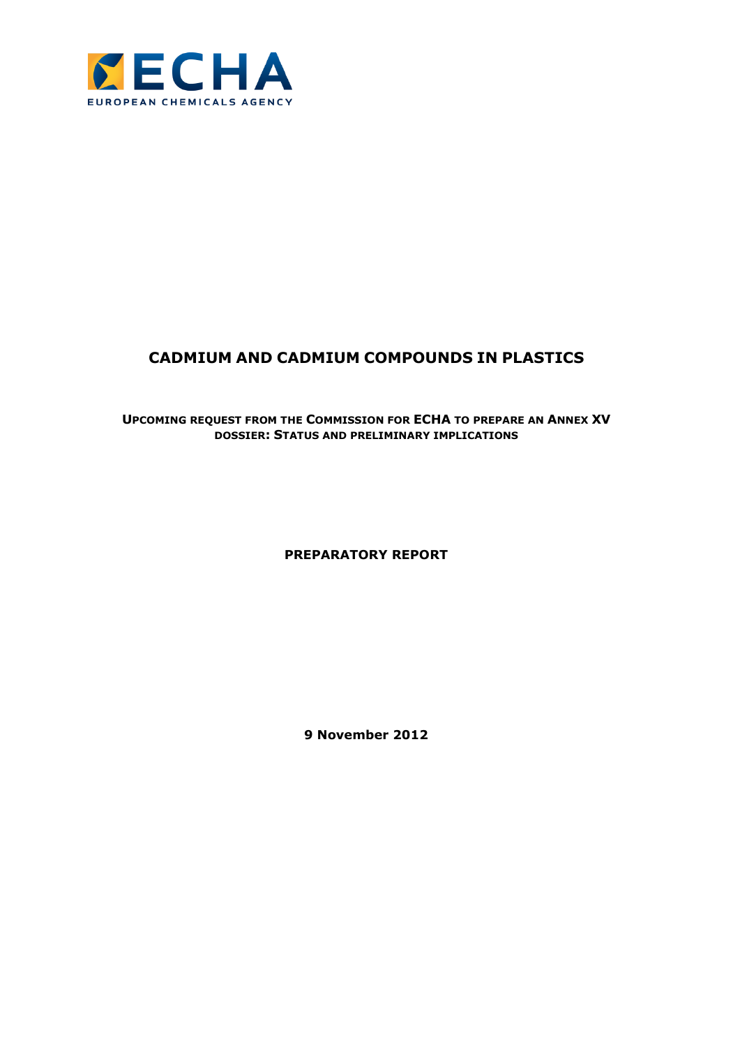

# **CADMIUM AND CADMIUM COMPOUNDS IN PLASTICS**

# **UPCOMING REQUEST FROM THE COMMISSION FOR ECHA TO PREPARE AN ANNEX XV DOSSIER: STATUS AND PRELIMINARY IMPLICATIONS**

# **PREPARATORY REPORT**

**9 November 2012**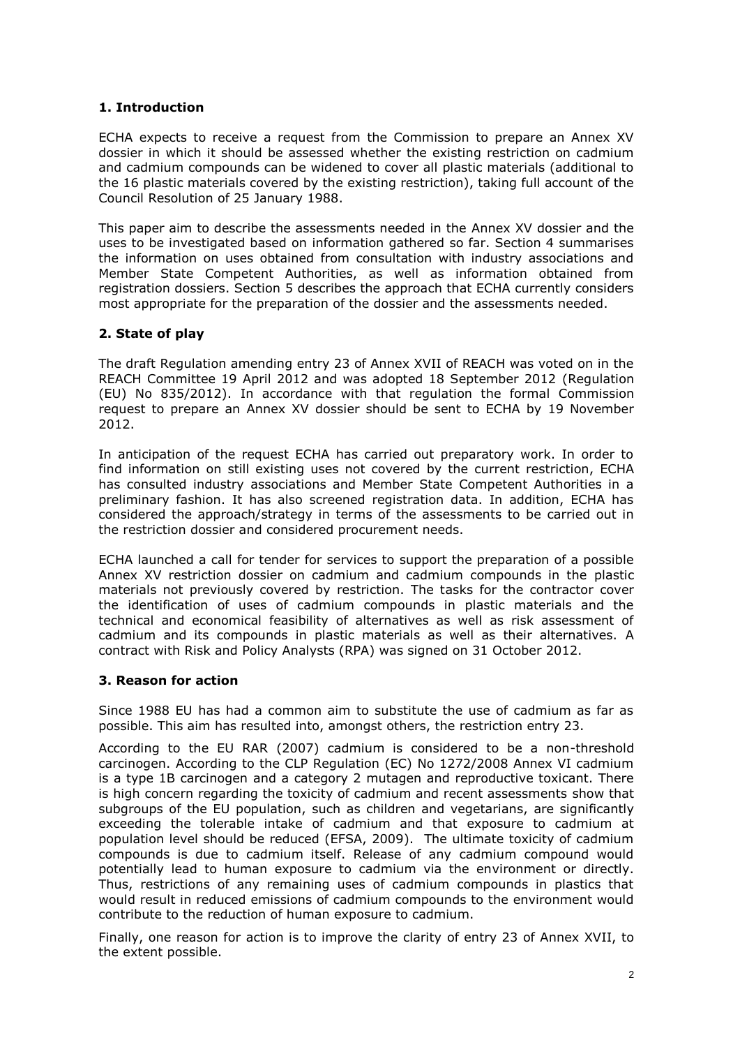# **1. Introduction**

ECHA expects to receive a request from the Commission to prepare an Annex XV dossier in which it should be assessed whether the existing restriction on cadmium and cadmium compounds can be widened to cover all plastic materials (additional to the 16 plastic materials covered by the existing restriction), taking full account of the Council Resolution of 25 January 1988.

This paper aim to describe the assessments needed in the Annex XV dossier and the uses to be investigated based on information gathered so far. Section 4 summarises the information on uses obtained from consultation with industry associations and Member State Competent Authorities, as well as information obtained from registration dossiers. Section 5 describes the approach that ECHA currently considers most appropriate for the preparation of the dossier and the assessments needed.

# **2. State of play**

The draft Regulation amending entry 23 of Annex XVII of REACH was voted on in the REACH Committee 19 April 2012 and was adopted 18 September 2012 (Regulation (EU) No 835/2012). In accordance with that regulation the formal Commission request to prepare an Annex XV dossier should be sent to ECHA by 19 November 2012.

In anticipation of the request ECHA has carried out preparatory work. In order to find information on still existing uses not covered by the current restriction, ECHA has consulted industry associations and Member State Competent Authorities in a preliminary fashion. It has also screened registration data. In addition, ECHA has considered the approach/strategy in terms of the assessments to be carried out in the restriction dossier and considered procurement needs.

ECHA launched a call for tender for services to support the preparation of a possible Annex XV restriction dossier on cadmium and cadmium compounds in the plastic materials not previously covered by restriction. The tasks for the contractor cover the identification of uses of cadmium compounds in plastic materials and the technical and economical feasibility of alternatives as well as risk assessment of cadmium and its compounds in plastic materials as well as their alternatives. A contract with Risk and Policy Analysts (RPA) was signed on 31 October 2012.

# **3. Reason for action**

Since 1988 EU has had a common aim to substitute the use of cadmium as far as possible. This aim has resulted into, amongst others, the restriction entry 23.

According to the EU RAR (2007) cadmium is considered to be a non-threshold carcinogen. According to the CLP Regulation (EC) No 1272/2008 Annex VI cadmium is a type 1B carcinogen and a category 2 mutagen and reproductive toxicant. There is high concern regarding the toxicity of cadmium and recent assessments show that subgroups of the EU population, such as children and vegetarians, are significantly exceeding the tolerable intake of cadmium and that exposure to cadmium at population level should be reduced (EFSA, 2009). The ultimate toxicity of cadmium compounds is due to cadmium itself. Release of any cadmium compound would potentially lead to human exposure to cadmium via the environment or directly. Thus, restrictions of any remaining uses of cadmium compounds in plastics that would result in reduced emissions of cadmium compounds to the environment would contribute to the reduction of human exposure to cadmium.

Finally, one reason for action is to improve the clarity of entry 23 of Annex XVII, to the extent possible.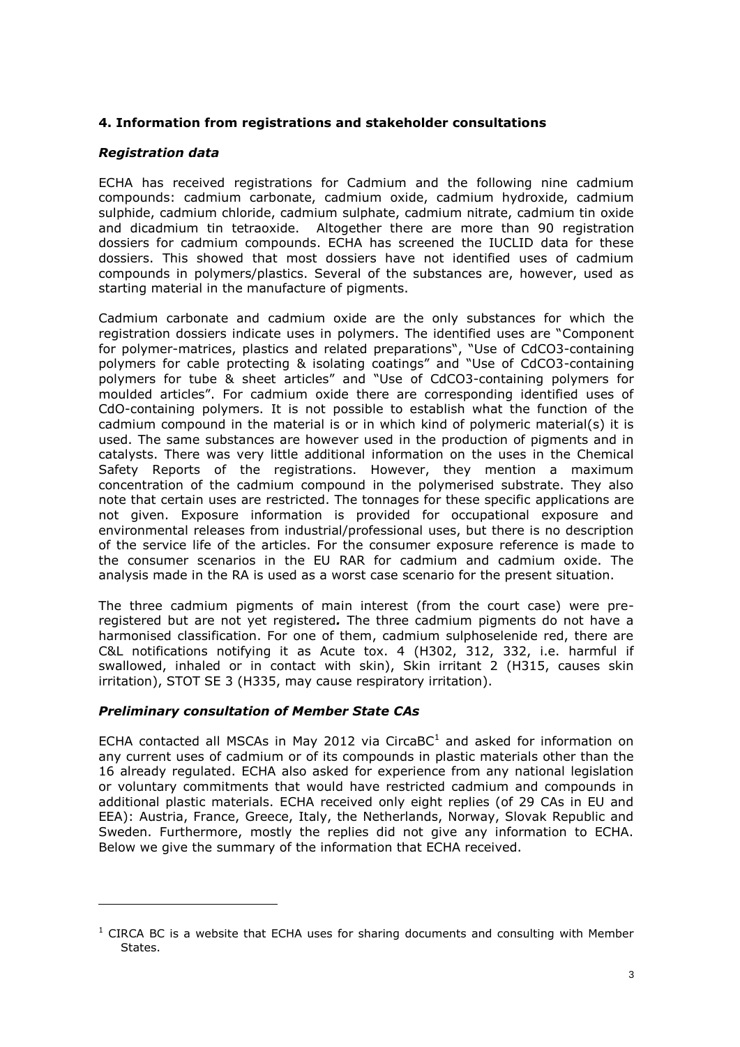# **4. Information from registrations and stakeholder consultations**

# *Registration data*

ECHA has received registrations for Cadmium and the following nine cadmium compounds: cadmium carbonate, cadmium oxide, cadmium hydroxide, cadmium sulphide, cadmium chloride, cadmium sulphate, cadmium nitrate, cadmium tin oxide and dicadmium tin tetraoxide. Altogether there are more than 90 registration dossiers for cadmium compounds. ECHA has screened the IUCLID data for these dossiers. This showed that most dossiers have not identified uses of cadmium compounds in polymers/plastics. Several of the substances are, however, used as starting material in the manufacture of pigments.

Cadmium carbonate and cadmium oxide are the only substances for which the registration dossiers indicate uses in polymers. The identified uses are "Component for polymer-matrices, plastics and related preparations", "Use of CdCO3-containing polymers for cable protecting & isolating coatings" and "Use of CdCO3-containing polymers for tube & sheet articles" and "Use of CdCO3-containing polymers for moulded articles". For cadmium oxide there are corresponding identified uses of CdO-containing polymers. It is not possible to establish what the function of the cadmium compound in the material is or in which kind of polymeric material(s) it is used. The same substances are however used in the production of pigments and in catalysts. There was very little additional information on the uses in the Chemical Safety Reports of the registrations. However, they mention a maximum concentration of the cadmium compound in the polymerised substrate. They also note that certain uses are restricted. The tonnages for these specific applications are not given. Exposure information is provided for occupational exposure and environmental releases from industrial/professional uses, but there is no description of the service life of the articles. For the consumer exposure reference is made to the consumer scenarios in the EU RAR for cadmium and cadmium oxide. The analysis made in the RA is used as a worst case scenario for the present situation.

The three cadmium pigments of main interest (from the court case) were preregistered but are not yet registered*.* The three cadmium pigments do not have a harmonised classification. For one of them, cadmium sulphoselenide red, there are C&L notifications notifying it as Acute tox. 4 (H302, 312, 332, i.e. harmful if swallowed, inhaled or in contact with skin), Skin irritant 2 (H315, causes skin irritation), STOT SE 3 (H335, may cause respiratory irritation).

#### *Preliminary consultation of Member State CAs*

 $\overline{a}$ 

ECHA contacted all MSCAs in May 2012 via CircaBC<sup>1</sup> and asked for information on any current uses of cadmium or of its compounds in plastic materials other than the 16 already regulated. ECHA also asked for experience from any national legislation or voluntary commitments that would have restricted cadmium and compounds in additional plastic materials. ECHA received only eight replies (of 29 CAs in EU and EEA): Austria, France, Greece, Italy, the Netherlands, Norway, Slovak Republic and Sweden. Furthermore, mostly the replies did not give any information to ECHA. Below we give the summary of the information that ECHA received.

 $1$  CIRCA BC is a website that ECHA uses for sharing documents and consulting with Member States.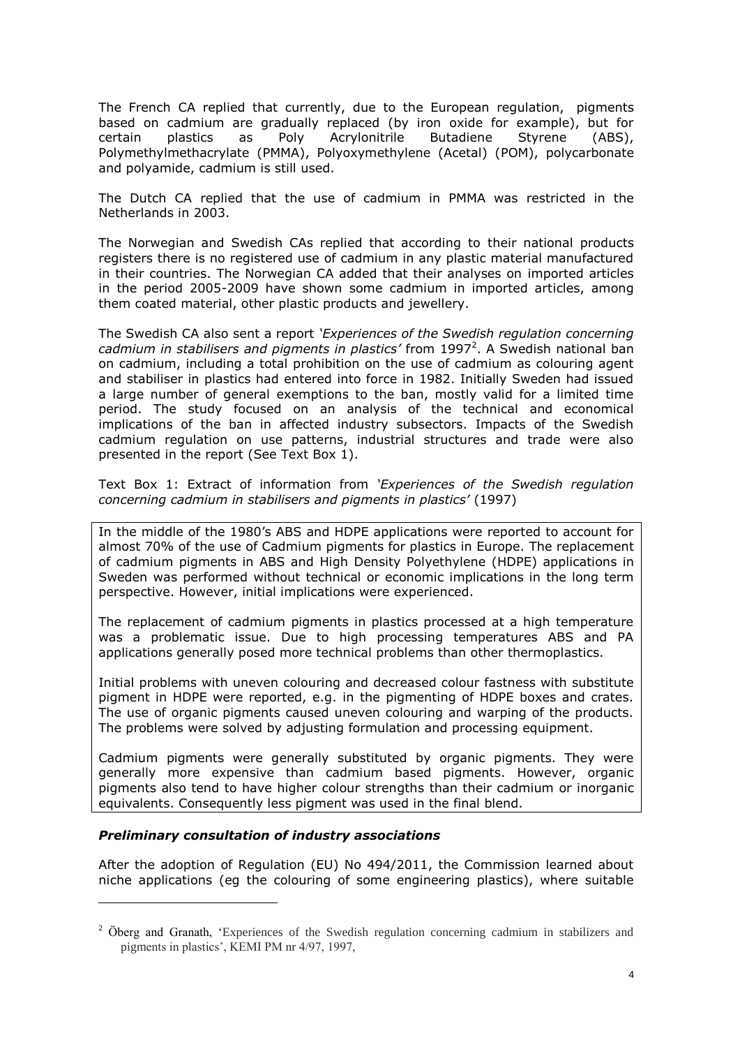The French CA replied that currently, due to the European regulation, pigments based on cadmium are gradually replaced (by iron oxide for example), but for certain plastics as Poly Acrylonitrile Butadiene Styrene (ABS), Polymethylmethacrylate (PMMA), Polyoxymethylene (Acetal) (POM), polycarbonate and polyamide, cadmium is still used.

The Dutch CA replied that the use of cadmium in PMMA was restricted in the Netherlands in 2003.

The Norwegian and Swedish CAs replied that according to their national products registers there is no registered use of cadmium in any plastic material manufactured in their countries. The Norwegian CA added that their analyses on imported articles in the period 2005-2009 have shown some cadmium in imported articles, among them coated material, other plastic products and jewellery.

The Swedish CA also sent a report *'Experiences of the Swedish regulation concerning*  cadmium in stabilisers and pigments in plastics' from 1997<sup>2</sup>. A Swedish national ban on cadmium, including a total prohibition on the use of cadmium as colouring agent and stabiliser in plastics had entered into force in 1982. Initially Sweden had issued a large number of general exemptions to the ban, mostly valid for a limited time period. The study focused on an analysis of the technical and economical implications of the ban in affected industry subsectors. Impacts of the Swedish cadmium regulation on use patterns, industrial structures and trade were also presented in the report (See Text Box 1).

Text Box 1: Extract of information from *'Experiences of the Swedish regulation concerning cadmium in stabilisers and pigments in plastics'* (1997)

In the middle of the 1980's ABS and HDPE applications were reported to account for almost 70% of the use of Cadmium pigments for plastics in Europe. The replacement of cadmium pigments in ABS and High Density Polyethylene (HDPE) applications in Sweden was performed without technical or economic implications in the long term perspective. However, initial implications were experienced.

The replacement of cadmium pigments in plastics processed at a high temperature was a problematic issue. Due to high processing temperatures ABS and PA applications generally posed more technical problems than other thermoplastics.

Initial problems with uneven colouring and decreased colour fastness with substitute pigment in HDPE were reported, e.g. in the pigmenting of HDPE boxes and crates. The use of organic pigments caused uneven colouring and warping of the products. The problems were solved by adjusting formulation and processing equipment.

Cadmium pigments were generally substituted by organic pigments. They were generally more expensive than cadmium based pigments. However, organic pigments also tend to have higher colour strengths than their cadmium or inorganic equivalents. Consequently less pigment was used in the final blend.

#### *Preliminary consultation of industry associations*

 $\overline{a}$ 

After the adoption of Regulation (EU) No 494/2011, the Commission learned about niche applications (eg the colouring of some engineering plastics), where suitable

<sup>&</sup>lt;sup>2</sup> Öberg and Granath, 'Experiences of the Swedish regulation concerning cadmium in stabilizers and pigments in plastics', KEMI PM nr 4/97, 1997,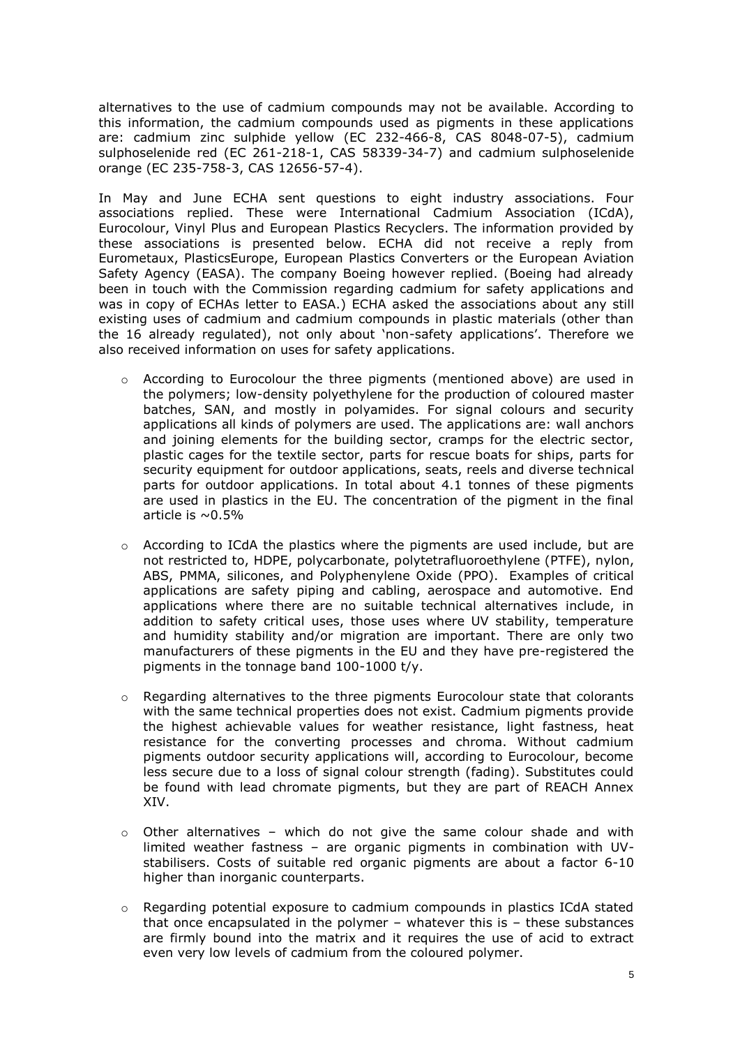alternatives to the use of cadmium compounds may not be available. According to this information, the cadmium compounds used as pigments in these applications are: cadmium zinc sulphide yellow (EC 232-466-8, CAS 8048-07-5), cadmium sulphoselenide red (EC 261-218-1, CAS 58339-34-7) and cadmium sulphoselenide orange (EC 235-758-3, CAS 12656-57-4).

In May and June ECHA sent questions to eight industry associations. Four associations replied. These were International Cadmium Association (ICdA), Eurocolour, Vinyl Plus and European Plastics Recyclers. The information provided by these associations is presented below. ECHA did not receive a reply from Eurometaux, PlasticsEurope, European Plastics Converters or the European Aviation Safety Agency (EASA). The company Boeing however replied. (Boeing had already been in touch with the Commission regarding cadmium for safety applications and was in copy of ECHAs letter to EASA.) ECHA asked the associations about any still existing uses of cadmium and cadmium compounds in plastic materials (other than the 16 already regulated), not only about 'non-safety applications'. Therefore we also received information on uses for safety applications.

- $\circ$  According to Eurocolour the three pigments (mentioned above) are used in the polymers; low-density polyethylene for the production of coloured master batches, SAN, and mostly in polyamides. For signal colours and security applications all kinds of polymers are used. The applications are: wall anchors and joining elements for the building sector, cramps for the electric sector, plastic cages for the textile sector, parts for rescue boats for ships, parts for security equipment for outdoor applications, seats, reels and diverse technical parts for outdoor applications. In total about 4.1 tonnes of these pigments are used in plastics in the EU. The concentration of the pigment in the final article is  $\sim 0.5\%$
- $\circ$  According to ICdA the plastics where the pigments are used include, but are not restricted to, HDPE, polycarbonate, polytetrafluoroethylene (PTFE), nylon, ABS, PMMA, silicones, and Polyphenylene Oxide (PPO). Examples of critical applications are safety piping and cabling, aerospace and automotive. End applications where there are no suitable technical alternatives include, in addition to safety critical uses, those uses where UV stability, temperature and humidity stability and/or migration are important. There are only two manufacturers of these pigments in the EU and they have pre-registered the pigments in the tonnage band 100-1000 t/y.
- $\circ$  Regarding alternatives to the three pigments Eurocolour state that colorants with the same technical properties does not exist. Cadmium pigments provide the highest achievable values for weather resistance, light fastness, heat resistance for the converting processes and chroma. Without cadmium pigments outdoor security applications will, according to Eurocolour, become less secure due to a loss of signal colour strength (fading). Substitutes could be found with lead chromate pigments, but they are part of REACH Annex XIV.
- $\circ$  Other alternatives which do not give the same colour shade and with limited weather fastness – are organic pigments in combination with UVstabilisers. Costs of suitable red organic pigments are about a factor 6-10 higher than inorganic counterparts.
- o Regarding potential exposure to cadmium compounds in plastics ICdA stated that once encapsulated in the polymer – whatever this is – these substances are firmly bound into the matrix and it requires the use of acid to extract even very low levels of cadmium from the coloured polymer.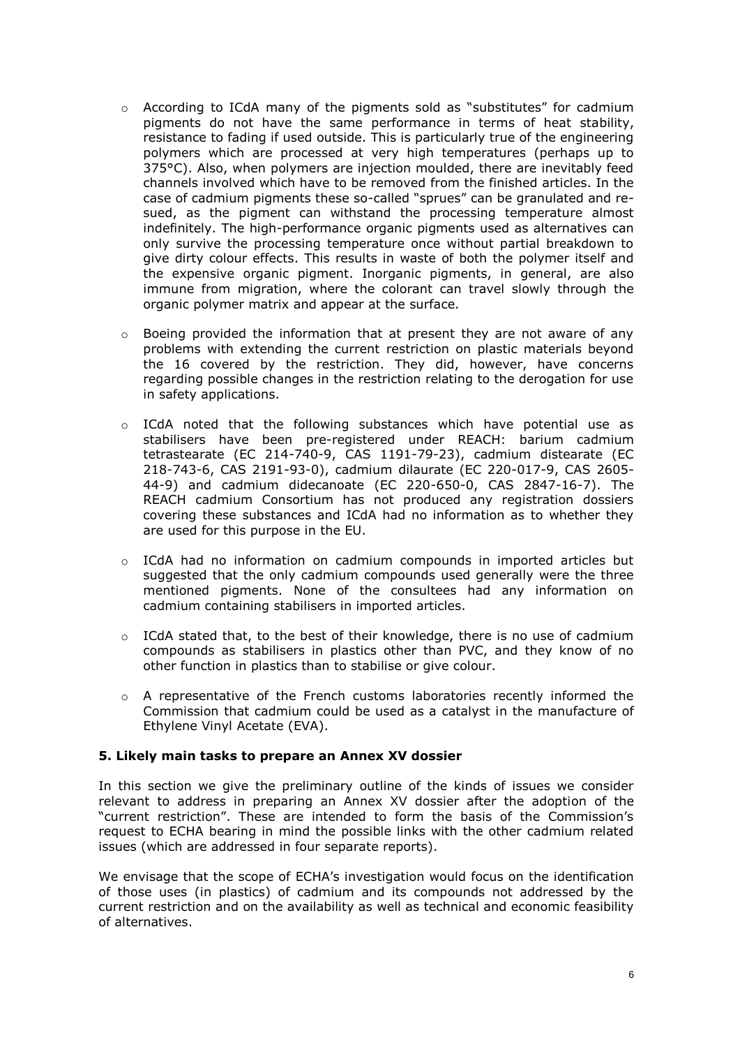- $\circ$  According to ICdA many of the pigments sold as "substitutes" for cadmium pigments do not have the same performance in terms of heat stability, resistance to fading if used outside. This is particularly true of the engineering polymers which are processed at very high temperatures (perhaps up to 375°C). Also, when polymers are injection moulded, there are inevitably feed channels involved which have to be removed from the finished articles. In the case of cadmium pigments these so-called "sprues" can be granulated and resued, as the pigment can withstand the processing temperature almost indefinitely. The high-performance organic pigments used as alternatives can only survive the processing temperature once without partial breakdown to give dirty colour effects. This results in waste of both the polymer itself and the expensive organic pigment. Inorganic pigments, in general, are also immune from migration, where the colorant can travel slowly through the organic polymer matrix and appear at the surface.
- $\circ$  Boeing provided the information that at present they are not aware of any problems with extending the current restriction on plastic materials beyond the 16 covered by the restriction. They did, however, have concerns regarding possible changes in the restriction relating to the derogation for use in safety applications.
- $\circ$  ICdA noted that the following substances which have potential use as stabilisers have been pre-registered under REACH: barium cadmium tetrastearate (EC 214-740-9, CAS 1191-79-23), cadmium distearate (EC 218-743-6, CAS 2191-93-0), cadmium dilaurate (EC 220-017-9, CAS 2605- 44-9) and cadmium didecanoate (EC 220-650-0, CAS 2847-16-7). The REACH cadmium Consortium has not produced any registration dossiers covering these substances and ICdA had no information as to whether they are used for this purpose in the EU.
- $\circ$  ICdA had no information on cadmium compounds in imported articles but suggested that the only cadmium compounds used generally were the three mentioned pigments. None of the consultees had any information on cadmium containing stabilisers in imported articles.
- $\circ$  ICdA stated that, to the best of their knowledge, there is no use of cadmium compounds as stabilisers in plastics other than PVC, and they know of no other function in plastics than to stabilise or give colour.
- $\circ$  A representative of the French customs laboratories recently informed the Commission that cadmium could be used as a catalyst in the manufacture of Ethylene Vinyl Acetate (EVA).

#### **5. Likely main tasks to prepare an Annex XV dossier**

In this section we give the preliminary outline of the kinds of issues we consider relevant to address in preparing an Annex XV dossier after the adoption of the "current restriction". These are intended to form the basis of the Commission's request to ECHA bearing in mind the possible links with the other cadmium related issues (which are addressed in four separate reports).

We envisage that the scope of ECHA's investigation would focus on the identification of those uses (in plastics) of cadmium and its compounds not addressed by the current restriction and on the availability as well as technical and economic feasibility of alternatives.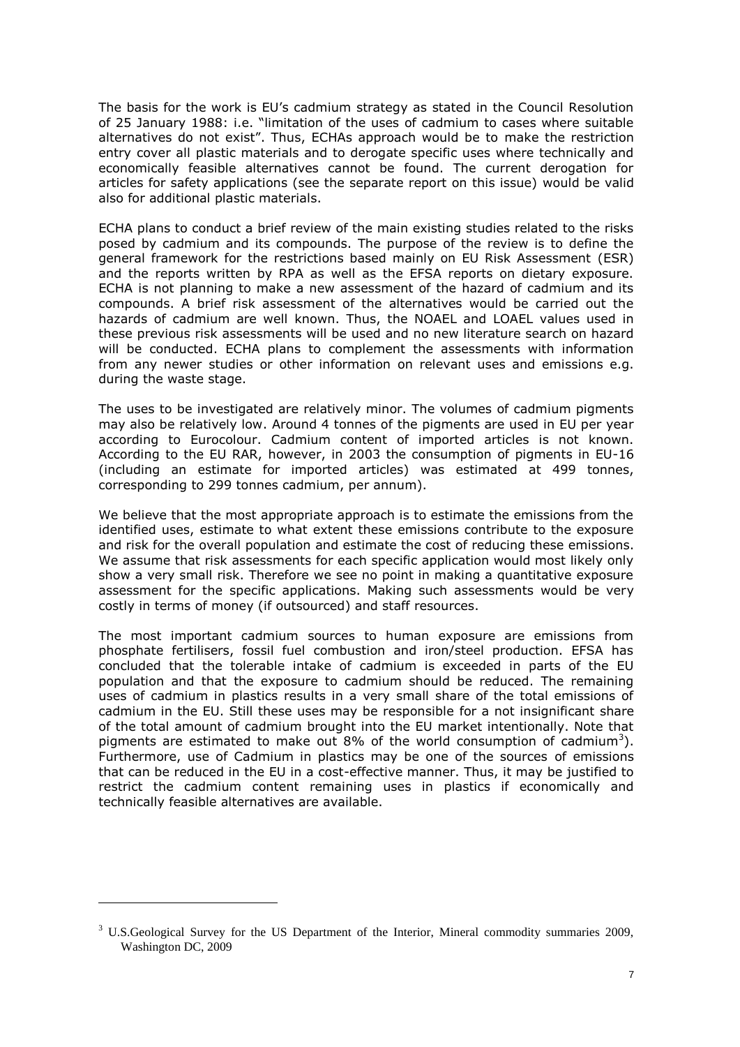The basis for the work is EU's cadmium strategy as stated in the Council Resolution of 25 January 1988: i.e. "limitation of the uses of cadmium to cases where suitable alternatives do not exist". Thus, ECHAs approach would be to make the restriction entry cover all plastic materials and to derogate specific uses where technically and economically feasible alternatives cannot be found. The current derogation for articles for safety applications (see the separate report on this issue) would be valid also for additional plastic materials.

ECHA plans to conduct a brief review of the main existing studies related to the risks posed by cadmium and its compounds. The purpose of the review is to define the general framework for the restrictions based mainly on EU Risk Assessment (ESR) and the reports written by RPA as well as the EFSA reports on dietary exposure. ECHA is not planning to make a new assessment of the hazard of cadmium and its compounds. A brief risk assessment of the alternatives would be carried out the hazards of cadmium are well known. Thus, the NOAEL and LOAEL values used in these previous risk assessments will be used and no new literature search on hazard will be conducted. ECHA plans to complement the assessments with information from any newer studies or other information on relevant uses and emissions e.g. during the waste stage.

The uses to be investigated are relatively minor. The volumes of cadmium pigments may also be relatively low. Around 4 tonnes of the pigments are used in EU per year according to Eurocolour. Cadmium content of imported articles is not known. According to the EU RAR, however, in 2003 the consumption of pigments in EU-16 (including an estimate for imported articles) was estimated at 499 tonnes, corresponding to 299 tonnes cadmium, per annum).

We believe that the most appropriate approach is to estimate the emissions from the identified uses, estimate to what extent these emissions contribute to the exposure and risk for the overall population and estimate the cost of reducing these emissions. We assume that risk assessments for each specific application would most likely only show a very small risk. Therefore we see no point in making a quantitative exposure assessment for the specific applications. Making such assessments would be very costly in terms of money (if outsourced) and staff resources.

The most important cadmium sources to human exposure are emissions from phosphate fertilisers, fossil fuel combustion and iron/steel production. EFSA has concluded that the tolerable intake of cadmium is exceeded in parts of the EU population and that the exposure to cadmium should be reduced. The remaining uses of cadmium in plastics results in a very small share of the total emissions of cadmium in the EU. Still these uses may be responsible for a not insignificant share of the total amount of cadmium brought into the EU market intentionally. Note that pigments are estimated to make out  $8\%$  of the world consumption of cadmium<sup>3</sup>). Furthermore, use of Cadmium in plastics may be one of the sources of emissions that can be reduced in the EU in a cost-effective manner. Thus, it may be justified to restrict the cadmium content remaining uses in plastics if economically and technically feasible alternatives are available.

 $\overline{a}$ 

<sup>&</sup>lt;sup>3</sup> U.S.Geological Survey for the US Department of the Interior, Mineral commodity summaries 2009, Washington DC, 2009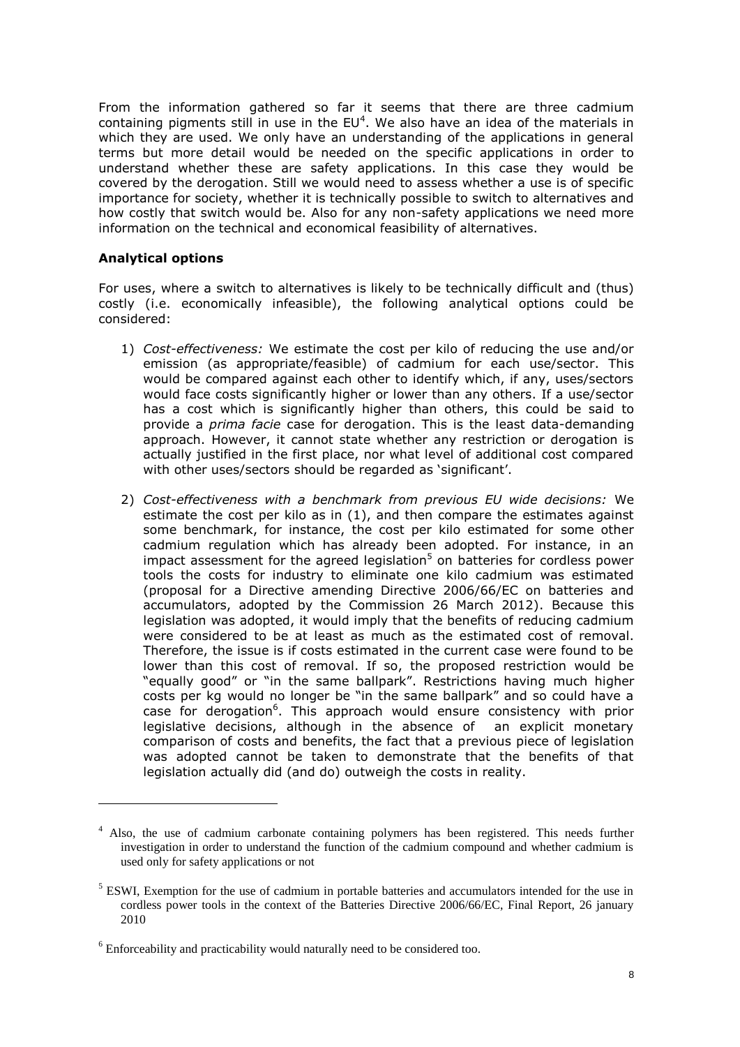From the information gathered so far it seems that there are three cadmium containing pigments still in use in the  $EU^4$ . We also have an idea of the materials in which they are used. We only have an understanding of the applications in general terms but more detail would be needed on the specific applications in order to understand whether these are safety applications. In this case they would be covered by the derogation. Still we would need to assess whether a use is of specific importance for society, whether it is technically possible to switch to alternatives and how costly that switch would be. Also for any non-safety applications we need more information on the technical and economical feasibility of alternatives.

#### **Analytical options**

 $\overline{a}$ 

For uses, where a switch to alternatives is likely to be technically difficult and (thus) costly (i.e. economically infeasible), the following analytical options could be considered:

- 1) *Cost-effectiveness:* We estimate the cost per kilo of reducing the use and/or emission (as appropriate/feasible) of cadmium for each use/sector. This would be compared against each other to identify which, if any, uses/sectors would face costs significantly higher or lower than any others. If a use/sector has a cost which is significantly higher than others, this could be said to provide a *prima facie* case for derogation. This is the least data-demanding approach. However, it cannot state whether any restriction or derogation is actually justified in the first place, nor what level of additional cost compared with other uses/sectors should be regarded as 'significant'.
- 2) *Cost-effectiveness with a benchmark from previous EU wide decisions:* We estimate the cost per kilo as in (1), and then compare the estimates against some benchmark, for instance, the cost per kilo estimated for some other cadmium regulation which has already been adopted. For instance, in an impact assessment for the agreed legislation<sup>5</sup> on batteries for cordless power tools the costs for industry to eliminate one kilo cadmium was estimated (proposal for a Directive amending Directive 2006/66/EC on batteries and accumulators, adopted by the Commission 26 March 2012). Because this legislation was adopted, it would imply that the benefits of reducing cadmium were considered to be at least as much as the estimated cost of removal. Therefore, the issue is if costs estimated in the current case were found to be lower than this cost of removal. If so, the proposed restriction would be "equally good" or "in the same ballpark". Restrictions having much higher costs per kg would no longer be "in the same ballpark" and so could have a case for derogation<sup>6</sup>. This approach would ensure consistency with prior legislative decisions, although in the absence of an explicit monetary comparison of costs and benefits, the fact that a previous piece of legislation was adopted cannot be taken to demonstrate that the benefits of that legislation actually did (and do) outweigh the costs in reality.

<sup>&</sup>lt;sup>4</sup> Also, the use of cadmium carbonate containing polymers has been registered. This needs further investigation in order to understand the function of the cadmium compound and whether cadmium is used only for safety applications or not

<sup>&</sup>lt;sup>5</sup> ESWI, Exemption for the use of cadmium in portable batteries and accumulators intended for the use in cordless power tools in the context of the Batteries Directive 2006/66/EC, Final Report, 26 january 2010

 $6$  Enforceability and practicability would naturally need to be considered too.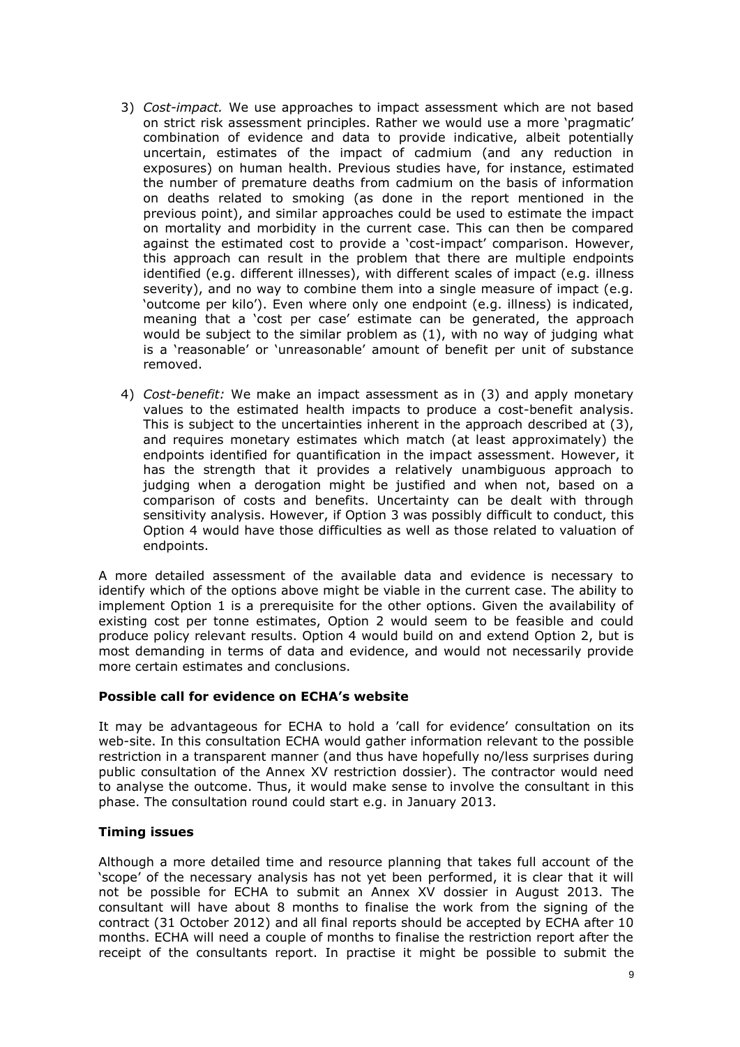- 3) *Cost-impact.* We use approaches to impact assessment which are not based on strict risk assessment principles. Rather we would use a more 'pragmatic' combination of evidence and data to provide indicative, albeit potentially uncertain, estimates of the impact of cadmium (and any reduction in exposures) on human health. Previous studies have, for instance, estimated the number of premature deaths from cadmium on the basis of information on deaths related to smoking (as done in the report mentioned in the previous point), and similar approaches could be used to estimate the impact on mortality and morbidity in the current case. This can then be compared against the estimated cost to provide a 'cost-impact' comparison. However, this approach can result in the problem that there are multiple endpoints identified (e.g. different illnesses), with different scales of impact (e.g. illness severity), and no way to combine them into a single measure of impact (e.g. 'outcome per kilo'). Even where only one endpoint (e.g. illness) is indicated, meaning that a 'cost per case' estimate can be generated, the approach would be subject to the similar problem as (1), with no way of judging what is a 'reasonable' or 'unreasonable' amount of benefit per unit of substance removed.
- 4) *Cost-benefit:* We make an impact assessment as in (3) and apply monetary values to the estimated health impacts to produce a cost-benefit analysis. This is subject to the uncertainties inherent in the approach described at (3), and requires monetary estimates which match (at least approximately) the endpoints identified for quantification in the impact assessment. However, it has the strength that it provides a relatively unambiguous approach to judging when a derogation might be justified and when not, based on a comparison of costs and benefits. Uncertainty can be dealt with through sensitivity analysis. However, if Option 3 was possibly difficult to conduct, this Option 4 would have those difficulties as well as those related to valuation of endpoints.

A more detailed assessment of the available data and evidence is necessary to identify which of the options above might be viable in the current case. The ability to implement Option 1 is a prerequisite for the other options. Given the availability of existing cost per tonne estimates, Option 2 would seem to be feasible and could produce policy relevant results. Option 4 would build on and extend Option 2, but is most demanding in terms of data and evidence, and would not necessarily provide more certain estimates and conclusions.

#### **Possible call for evidence on ECHA's website**

It may be advantageous for ECHA to hold a 'call for evidence' consultation on its web-site. In this consultation ECHA would gather information relevant to the possible restriction in a transparent manner (and thus have hopefully no/less surprises during public consultation of the Annex XV restriction dossier). The contractor would need to analyse the outcome. Thus, it would make sense to involve the consultant in this phase. The consultation round could start e.g. in January 2013.

#### **Timing issues**

Although a more detailed time and resource planning that takes full account of the 'scope' of the necessary analysis has not yet been performed, it is clear that it will not be possible for ECHA to submit an Annex XV dossier in August 2013. The consultant will have about 8 months to finalise the work from the signing of the contract (31 October 2012) and all final reports should be accepted by ECHA after 10 months. ECHA will need a couple of months to finalise the restriction report after the receipt of the consultants report. In practise it might be possible to submit the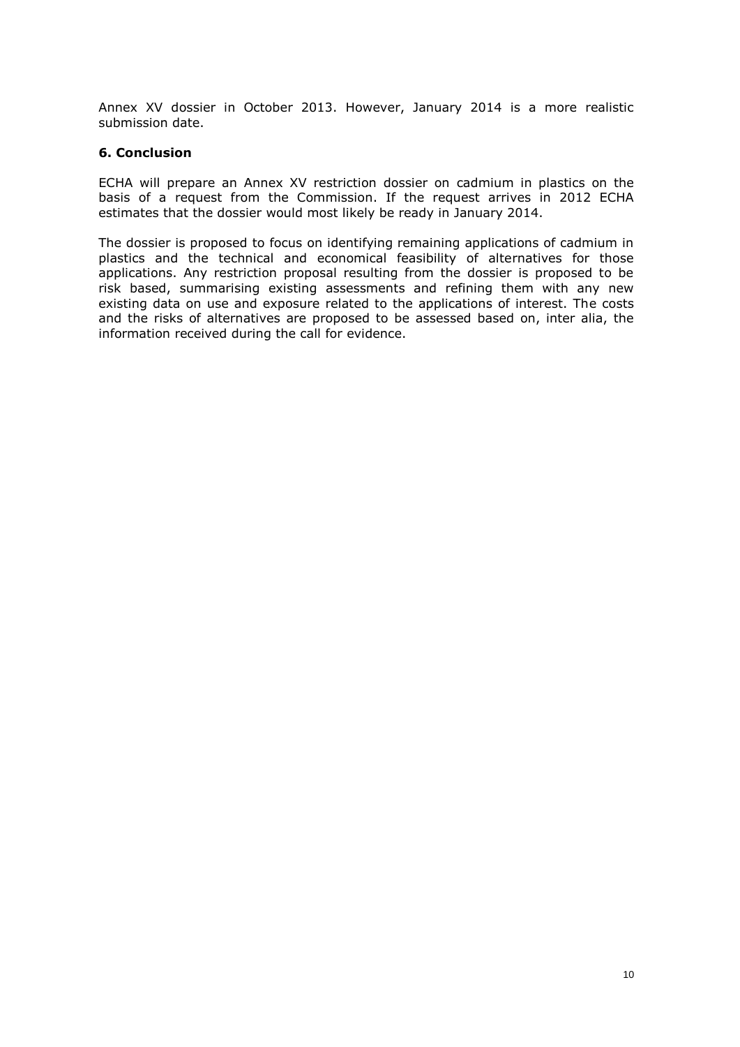Annex XV dossier in October 2013. However, January 2014 is a more realistic submission date.

#### **6. Conclusion**

ECHA will prepare an Annex XV restriction dossier on cadmium in plastics on the basis of a request from the Commission. If the request arrives in 2012 ECHA estimates that the dossier would most likely be ready in January 2014.

The dossier is proposed to focus on identifying remaining applications of cadmium in plastics and the technical and economical feasibility of alternatives for those applications. Any restriction proposal resulting from the dossier is proposed to be risk based, summarising existing assessments and refining them with any new existing data on use and exposure related to the applications of interest. The costs and the risks of alternatives are proposed to be assessed based on, inter alia, the information received during the call for evidence.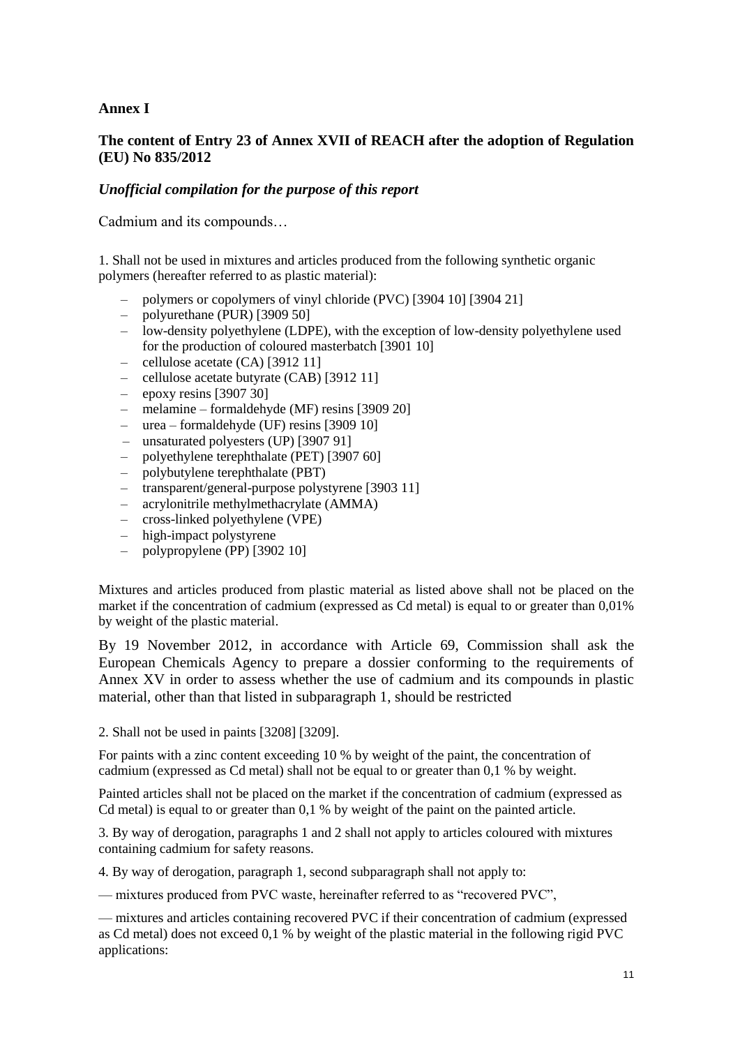# **Annex I**

# **The content of Entry 23 of Annex XVII of REACH after the adoption of Regulation (EU) No 835/2012**

# *Unofficial compilation for the purpose of this report*

Cadmium and its compounds…

1. Shall not be used in mixtures and articles produced from the following synthetic organic polymers (hereafter referred to as plastic material):

- polymers or copolymers of vinyl chloride (PVC) [3904 10] [3904 21]
- polyurethane (PUR) [3909 50]
- low-density polyethylene (LDPE), with the exception of low-density polyethylene used for the production of coloured masterbatch [3901 10]
- cellulose acetate (CA) [3912 11]
- cellulose acetate butyrate (CAB) [3912 11]
- $-$  epoxy resins [3907 30]
- melamine formaldehyde (MF) resins [3909 20]
- urea formaldehyde (UF) resins [3909 10]
- unsaturated polyesters (UP) [3907 91]
- polyethylene terephthalate (PET) [3907 60]
- polybutylene terephthalate (PBT)
- transparent/general-purpose polystyrene [3903 11]
- acrylonitrile methylmethacrylate (AMMA)
- cross-linked polyethylene (VPE)
- high-impact polystyrene
- polypropylene (PP) [3902 10]

Mixtures and articles produced from plastic material as listed above shall not be placed on the market if the concentration of cadmium (expressed as Cd metal) is equal to or greater than 0,01% by weight of the plastic material.

By 19 November 2012, in accordance with Article 69, Commission shall ask the European Chemicals Agency to prepare a dossier conforming to the requirements of Annex XV in order to assess whether the use of cadmium and its compounds in plastic material, other than that listed in subparagraph 1, should be restricted

2. Shall not be used in paints [3208] [3209].

For paints with a zinc content exceeding 10 % by weight of the paint, the concentration of cadmium (expressed as Cd metal) shall not be equal to or greater than 0,1 % by weight.

Painted articles shall not be placed on the market if the concentration of cadmium (expressed as Cd metal) is equal to or greater than 0,1 % by weight of the paint on the painted article.

3. By way of derogation, paragraphs 1 and 2 shall not apply to articles coloured with mixtures containing cadmium for safety reasons.

4. By way of derogation, paragraph 1, second subparagraph shall not apply to:

— mixtures produced from PVC waste, hereinafter referred to as "recovered PVC",

— mixtures and articles containing recovered PVC if their concentration of cadmium (expressed as Cd metal) does not exceed 0,1 % by weight of the plastic material in the following rigid PVC applications: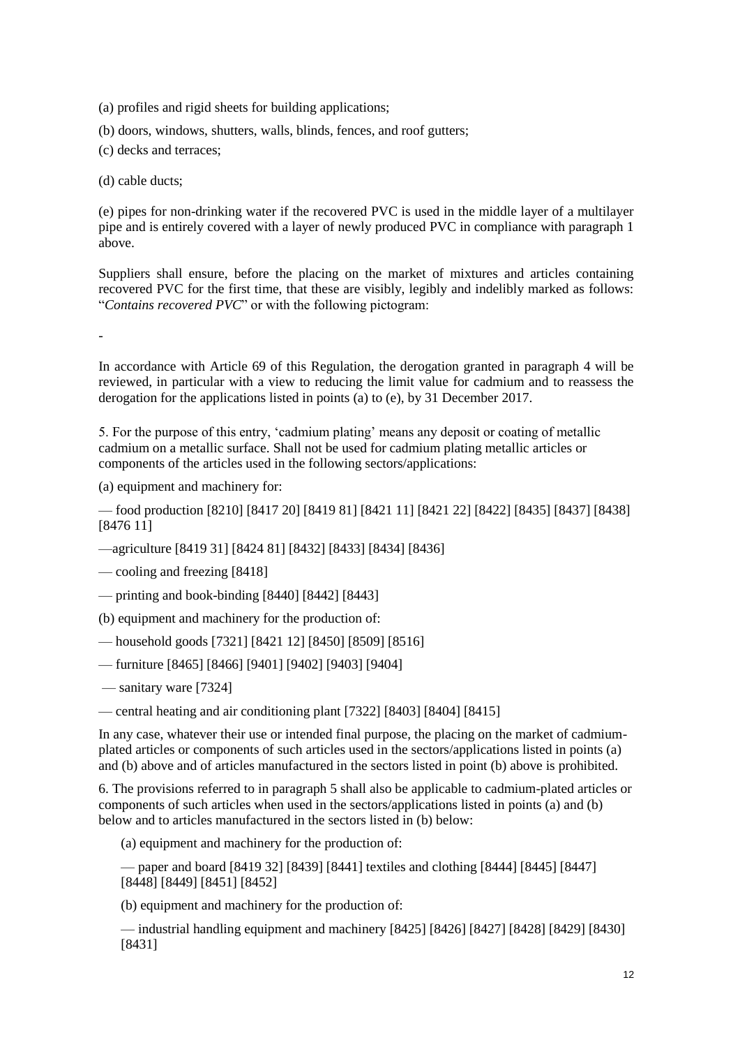(a) profiles and rigid sheets for building applications;

(b) doors, windows, shutters, walls, blinds, fences, and roof gutters;

(c) decks and terraces;

(d) cable ducts;

(e) pipes for non-drinking water if the recovered PVC is used in the middle layer of a multilayer pipe and is entirely covered with a layer of newly produced PVC in compliance with paragraph 1 above.

Suppliers shall ensure, before the placing on the market of mixtures and articles containing recovered PVC for the first time, that these are visibly, legibly and indelibly marked as follows: "*Contains recovered PVC*" or with the following pictogram:

-

In accordance with Article 69 of this Regulation, the derogation granted in paragraph 4 will be reviewed, in particular with a view to reducing the limit value for cadmium and to reassess the derogation for the applications listed in points (a) to (e), by 31 December 2017.

5. For the purpose of this entry, 'cadmium plating' means any deposit or coating of metallic cadmium on a metallic surface. Shall not be used for cadmium plating metallic articles or components of the articles used in the following sectors/applications:

(a) equipment and machinery for:

— food production [8210] [8417 20] [8419 81] [8421 11] [8421 22] [8422] [8435] [8437] [8438] [8476 11]

—agriculture [8419 31] [8424 81] [8432] [8433] [8434] [8436]

— cooling and freezing [8418]

— printing and book-binding [8440] [8442] [8443]

(b) equipment and machinery for the production of:

— household goods [7321] [8421 12] [8450] [8509] [8516]

— furniture [8465] [8466] [9401] [9402] [9403] [9404]

— sanitary ware [7324]

— central heating and air conditioning plant [7322] [8403] [8404] [8415]

In any case, whatever their use or intended final purpose, the placing on the market of cadmiumplated articles or components of such articles used in the sectors/applications listed in points (a) and (b) above and of articles manufactured in the sectors listed in point (b) above is prohibited.

6. The provisions referred to in paragraph 5 shall also be applicable to cadmium-plated articles or components of such articles when used in the sectors/applications listed in points (a) and (b) below and to articles manufactured in the sectors listed in (b) below:

(a) equipment and machinery for the production of:

— paper and board [8419 32] [8439] [8441] textiles and clothing [8444] [8445] [8447] [8448] [8449] [8451] [8452]

(b) equipment and machinery for the production of:

— industrial handling equipment and machinery [8425] [8426] [8427] [8428] [8429] [8430] [8431]